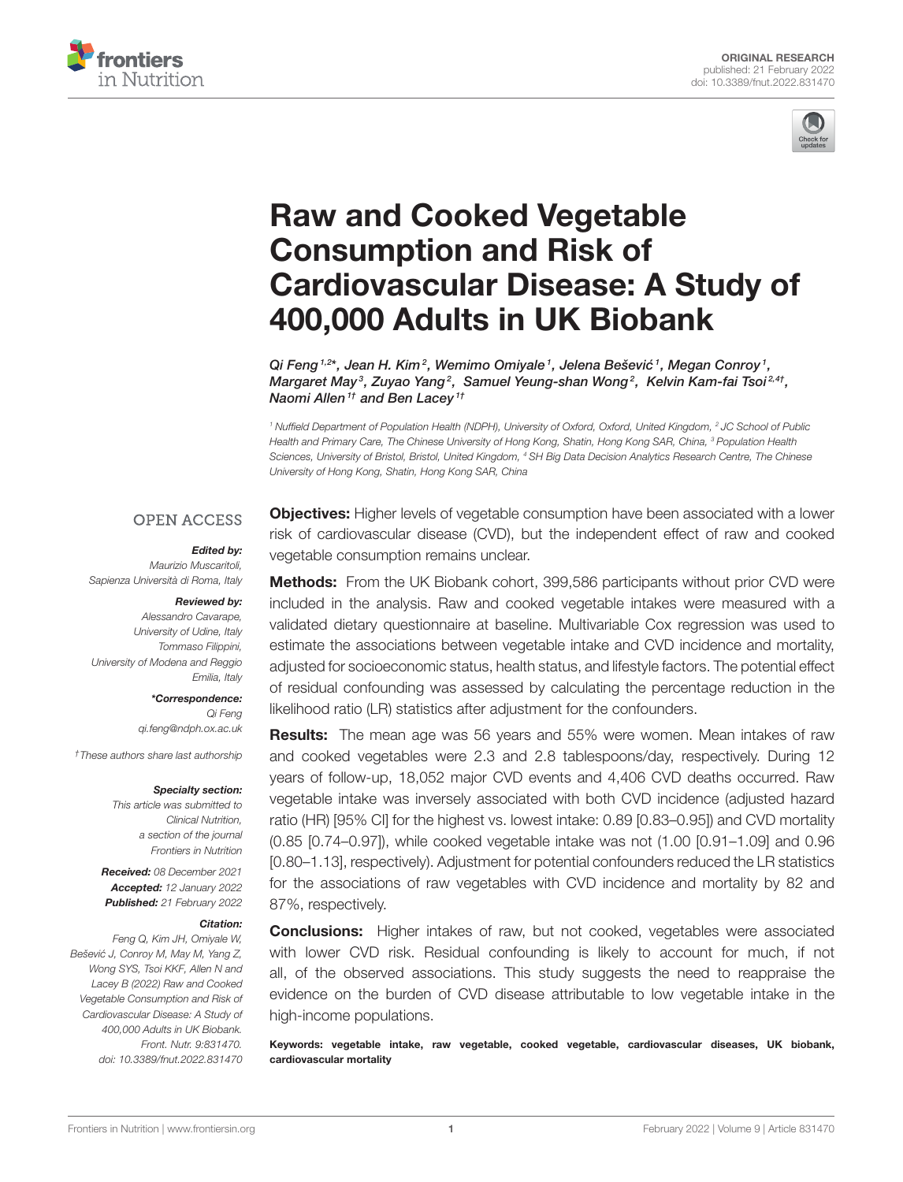



# Raw and Cooked Vegetable Consumption and Risk of [Cardiovascular Disease: A Study of](https://www.frontiersin.org/articles/10.3389/fnut.2022.831470/full) 400,000 Adults in UK Biobank

Qi Feng <sup>1,2\*</sup>, Jean H. Kim<sup>2</sup>, Wemimo Omiyale <sup>1</sup>, Jelena Bešević <sup>1</sup>, Megan Conroy <sup>1</sup>, Margaret May $^3$ , Zuyao Yang $^2$ , Samuel Yeung-shan Wong $^2$ , Kelvin Kam-fai Tsoi $^{2,4\tau},$ Naomi Allen<sup>1†</sup> and Ben Lacey<sup>1†</sup>

<sup>1</sup> Nuffield Department of Population Health (NDPH), University of Oxford, Oxford, United Kingdom, <sup>2</sup> JC School of Public Health and Primary Care, The Chinese University of Hong Kong, Shatin, Hong Kong SAR, China, <sup>3</sup> Population Health Sciences, University of Bristol, Bristol, United Kingdom, <sup>4</sup> SH Big Data Decision Analytics Research Centre, The Chinese University of Hong Kong, Shatin, Hong Kong SAR, China

### **OPEN ACCESS**

### Edited by:

Maurizio Muscaritoli, Sapienza Università di Roma, Italy

#### Reviewed by:

Alessandro Cavarape, University of Udine, Italy Tommaso Filippini, University of Modena and Reggio Emilia, Italy

> \*Correspondence: Qi Feng [qi.feng@ndph.ox.ac.uk](mailto:qi.feng@ndph.ox.ac.uk)

†These authors share last authorship

#### Specialty section:

This article was submitted to Clinical Nutrition, a section of the journal Frontiers in Nutrition

Received: 08 December 2021 Accepted: 12 January 2022 Published: 21 February 2022

#### Citation:

Feng Q, Kim JH, Omiyale W, Bešević J, Conroy M, May M, Yang Z, Wong SYS, Tsoi KKF, Allen N and Lacey B (2022) Raw and Cooked Vegetable Consumption and Risk of Cardiovascular Disease: A Study of 400,000 Adults in UK Biobank. Front. Nutr. 9:831470. doi: [10.3389/fnut.2022.831470](https://doi.org/10.3389/fnut.2022.831470)

**Objectives:** Higher levels of vegetable consumption have been associated with a lower risk of cardiovascular disease (CVD), but the independent effect of raw and cooked vegetable consumption remains unclear.

**Methods:** From the UK Biobank cohort, 399,586 participants without prior CVD were included in the analysis. Raw and cooked vegetable intakes were measured with a validated dietary questionnaire at baseline. Multivariable Cox regression was used to estimate the associations between vegetable intake and CVD incidence and mortality, adjusted for socioeconomic status, health status, and lifestyle factors. The potential effect of residual confounding was assessed by calculating the percentage reduction in the likelihood ratio (LR) statistics after adjustment for the confounders.

**Results:** The mean age was 56 years and 55% were women. Mean intakes of raw and cooked vegetables were 2.3 and 2.8 tablespoons/day, respectively. During 12 years of follow-up, 18,052 major CVD events and 4,406 CVD deaths occurred. Raw vegetable intake was inversely associated with both CVD incidence (adjusted hazard ratio (HR) [95% CI] for the highest vs. lowest intake: 0.89 [0.83–0.95]) and CVD mortality (0.85 [0.74–0.97]), while cooked vegetable intake was not (1.00 [0.91–1.09] and 0.96 [0.80–1.13], respectively). Adjustment for potential confounders reduced the LR statistics for the associations of raw vegetables with CVD incidence and mortality by 82 and 87%, respectively.

**Conclusions:** Higher intakes of raw, but not cooked, vegetables were associated with lower CVD risk. Residual confounding is likely to account for much, if not all, of the observed associations. This study suggests the need to reappraise the evidence on the burden of CVD disease attributable to low vegetable intake in the high-income populations.

Keywords: vegetable intake, raw vegetable, cooked vegetable, cardiovascular diseases, UK biobank, cardiovascular mortality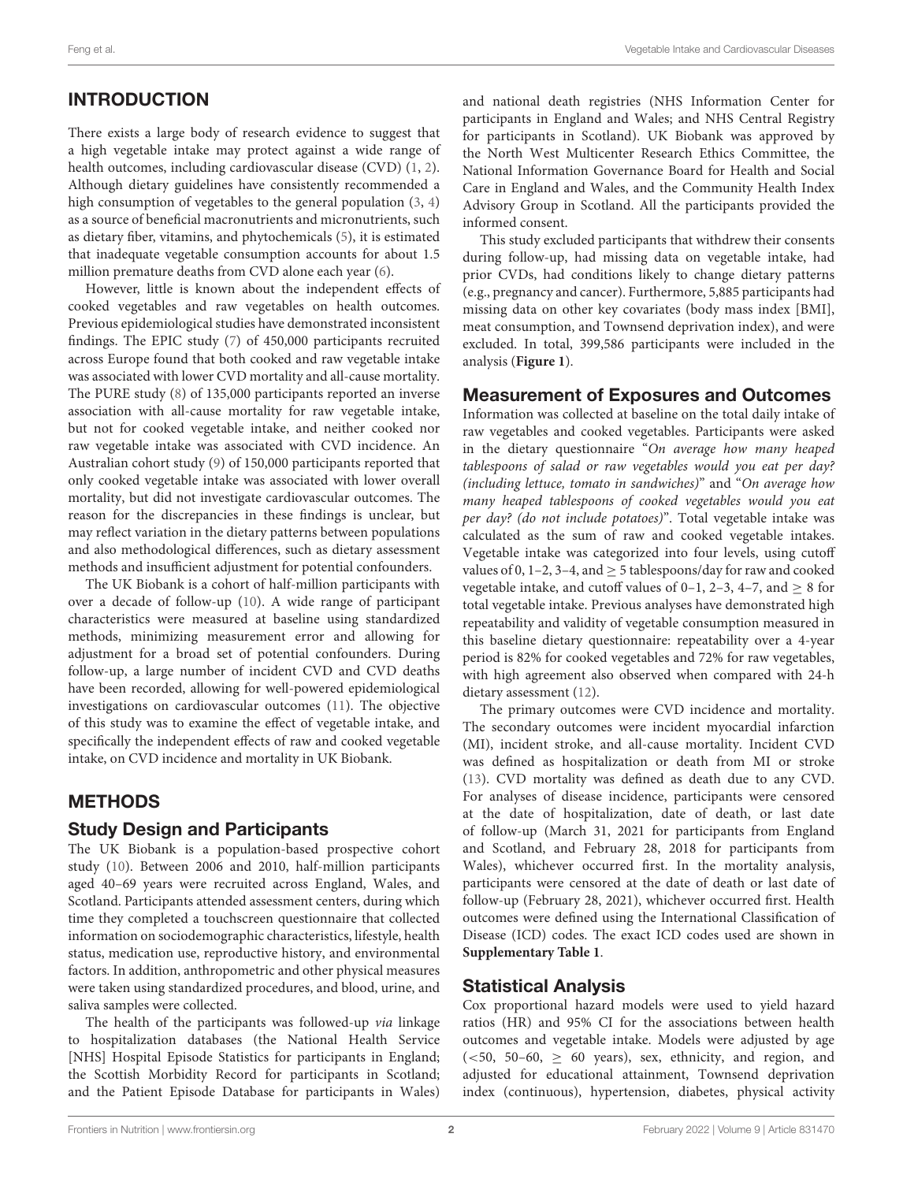# INTRODUCTION

There exists a large body of research evidence to suggest that a high vegetable intake may protect against a wide range of health outcomes, including cardiovascular disease (CVD) [\(1,](#page-7-0) [2\)](#page-7-1). Although dietary guidelines have consistently recommended a high consumption of vegetables to the general population [\(3,](#page-7-2) [4\)](#page-7-3) as a source of beneficial macronutrients and micronutrients, such as dietary fiber, vitamins, and phytochemicals [\(5\)](#page-7-4), it is estimated that inadequate vegetable consumption accounts for about 1.5 million premature deaths from CVD alone each year [\(6\)](#page-7-5).

However, little is known about the independent effects of cooked vegetables and raw vegetables on health outcomes. Previous epidemiological studies have demonstrated inconsistent findings. The EPIC study [\(7\)](#page-7-6) of 450,000 participants recruited across Europe found that both cooked and raw vegetable intake was associated with lower CVD mortality and all-cause mortality. The PURE study [\(8\)](#page-7-7) of 135,000 participants reported an inverse association with all-cause mortality for raw vegetable intake, but not for cooked vegetable intake, and neither cooked nor raw vegetable intake was associated with CVD incidence. An Australian cohort study [\(9\)](#page-7-8) of 150,000 participants reported that only cooked vegetable intake was associated with lower overall mortality, but did not investigate cardiovascular outcomes. The reason for the discrepancies in these findings is unclear, but may reflect variation in the dietary patterns between populations and also methodological differences, such as dietary assessment methods and insufficient adjustment for potential confounders.

The UK Biobank is a cohort of half-million participants with over a decade of follow-up [\(10\)](#page-7-9). A wide range of participant characteristics were measured at baseline using standardized methods, minimizing measurement error and allowing for adjustment for a broad set of potential confounders. During follow-up, a large number of incident CVD and CVD deaths have been recorded, allowing for well-powered epidemiological investigations on cardiovascular outcomes [\(11\)](#page-7-10). The objective of this study was to examine the effect of vegetable intake, and specifically the independent effects of raw and cooked vegetable intake, on CVD incidence and mortality in UK Biobank.

# METHODS

# Study Design and Participants

The UK Biobank is a population-based prospective cohort study [\(10\)](#page-7-9). Between 2006 and 2010, half-million participants aged 40–69 years were recruited across England, Wales, and Scotland. Participants attended assessment centers, during which time they completed a touchscreen questionnaire that collected information on sociodemographic characteristics, lifestyle, health status, medication use, reproductive history, and environmental factors. In addition, anthropometric and other physical measures were taken using standardized procedures, and blood, urine, and saliva samples were collected.

The health of the participants was followed-up via linkage to hospitalization databases (the National Health Service [NHS] Hospital Episode Statistics for participants in England; the Scottish Morbidity Record for participants in Scotland; and the Patient Episode Database for participants in Wales) and national death registries (NHS Information Center for participants in England and Wales; and NHS Central Registry for participants in Scotland). UK Biobank was approved by the North West Multicenter Research Ethics Committee, the National Information Governance Board for Health and Social Care in England and Wales, and the Community Health Index Advisory Group in Scotland. All the participants provided the informed consent.

This study excluded participants that withdrew their consents during follow-up, had missing data on vegetable intake, had prior CVDs, had conditions likely to change dietary patterns (e.g., pregnancy and cancer). Furthermore, 5,885 participants had missing data on other key covariates (body mass index [BMI], meat consumption, and Townsend deprivation index), and were excluded. In total, 399,586 participants were included in the analysis (**[Figure 1](#page-2-0)**).

# Measurement of Exposures and Outcomes

Information was collected at baseline on the total daily intake of raw vegetables and cooked vegetables. Participants were asked in the dietary questionnaire "On average how many heaped tablespoons of salad or raw vegetables would you eat per day? (including lettuce, tomato in sandwiches)" and "On average how many heaped tablespoons of cooked vegetables would you eat per day? (do not include potatoes)". Total vegetable intake was calculated as the sum of raw and cooked vegetable intakes. Vegetable intake was categorized into four levels, using cutoff values of 0, 1–2, 3–4, and  $\geq$  5 tablespoons/day for raw and cooked vegetable intake, and cutoff values of 0–1, 2–3, 4–7, and  $\geq 8$  for total vegetable intake. Previous analyses have demonstrated high repeatability and validity of vegetable consumption measured in this baseline dietary questionnaire: repeatability over a 4-year period is 82% for cooked vegetables and 72% for raw vegetables, with high agreement also observed when compared with 24-h dietary assessment [\(12\)](#page-8-0).

The primary outcomes were CVD incidence and mortality. The secondary outcomes were incident myocardial infarction (MI), incident stroke, and all-cause mortality. Incident CVD was defined as hospitalization or death from MI or stroke [\(13\)](#page-8-1). CVD mortality was defined as death due to any CVD. For analyses of disease incidence, participants were censored at the date of hospitalization, date of death, or last date of follow-up (March 31, 2021 for participants from England and Scotland, and February 28, 2018 for participants from Wales), whichever occurred first. In the mortality analysis, participants were censored at the date of death or last date of follow-up (February 28, 2021), whichever occurred first. Health outcomes were defined using the International Classification of Disease (ICD) codes. The exact ICD codes used are shown in **[Supplementary Table 1](#page-7-11)**.

# Statistical Analysis

Cox proportional hazard models were used to yield hazard ratios (HR) and 95% CI for the associations between health outcomes and vegetable intake. Models were adjusted by age ( $<$  50, 50-60,  $\geq$  60 years), sex, ethnicity, and region, and adjusted for educational attainment, Townsend deprivation index (continuous), hypertension, diabetes, physical activity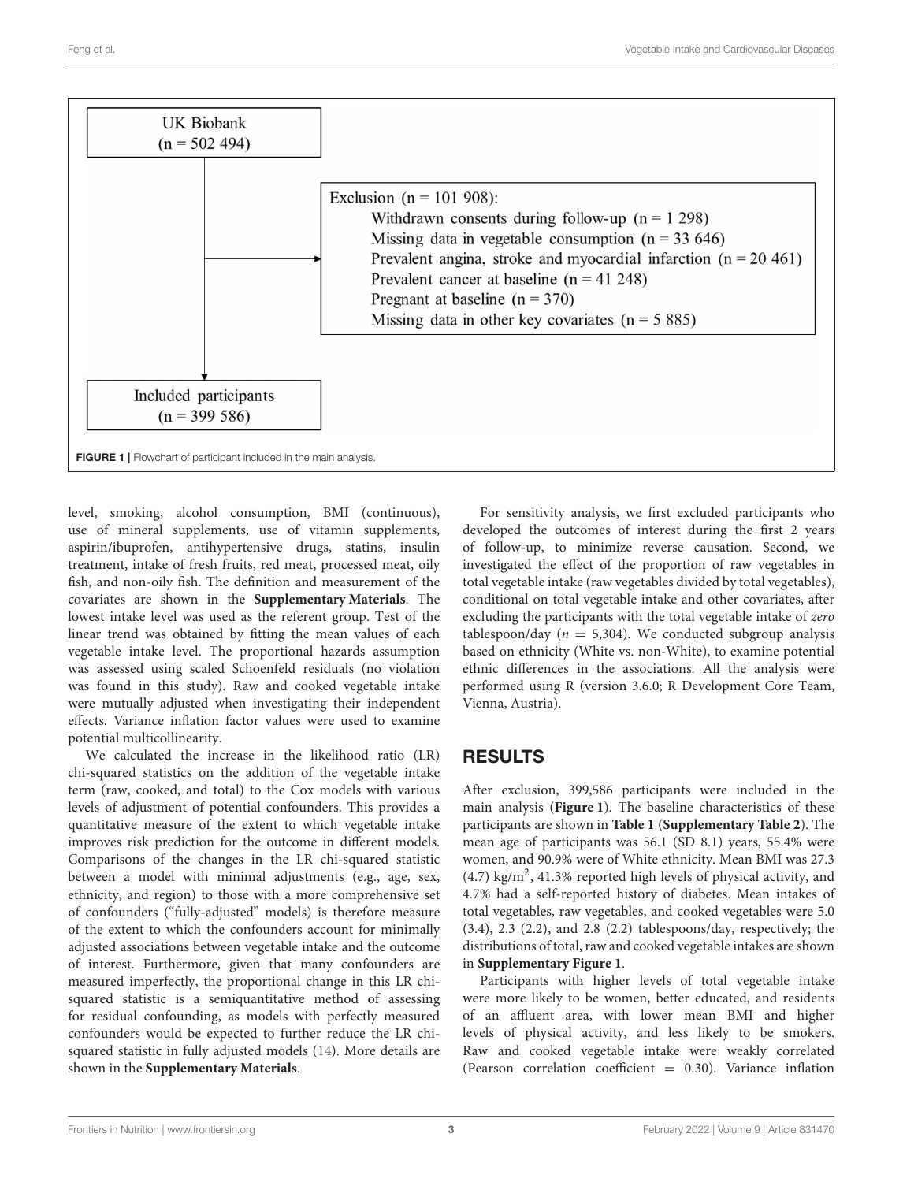

<span id="page-2-0"></span>level, smoking, alcohol consumption, BMI (continuous), use of mineral supplements, use of vitamin supplements, aspirin/ibuprofen, antihypertensive drugs, statins, insulin treatment, intake of fresh fruits, red meat, processed meat, oily fish, and non-oily fish. The definition and measurement of the covariates are shown in the **[Supplementary Materials](#page-7-11)**. The lowest intake level was used as the referent group. Test of the linear trend was obtained by fitting the mean values of each vegetable intake level. The proportional hazards assumption was assessed using scaled Schoenfeld residuals (no violation was found in this study). Raw and cooked vegetable intake were mutually adjusted when investigating their independent effects. Variance inflation factor values were used to examine potential multicollinearity.

We calculated the increase in the likelihood ratio (LR) chi-squared statistics on the addition of the vegetable intake term (raw, cooked, and total) to the Cox models with various levels of adjustment of potential confounders. This provides a quantitative measure of the extent to which vegetable intake improves risk prediction for the outcome in different models. Comparisons of the changes in the LR chi-squared statistic between a model with minimal adjustments (e.g., age, sex, ethnicity, and region) to those with a more comprehensive set of confounders ("fully-adjusted" models) is therefore measure of the extent to which the confounders account for minimally adjusted associations between vegetable intake and the outcome of interest. Furthermore, given that many confounders are measured imperfectly, the proportional change in this LR chisquared statistic is a semiquantitative method of assessing for residual confounding, as models with perfectly measured confounders would be expected to further reduce the LR chisquared statistic in fully adjusted models [\(14\)](#page-8-2). More details are shown in the **[Supplementary Materials](#page-7-11)**.

For sensitivity analysis, we first excluded participants who developed the outcomes of interest during the first 2 years of follow-up, to minimize reverse causation. Second, we investigated the effect of the proportion of raw vegetables in total vegetable intake (raw vegetables divided by total vegetables), conditional on total vegetable intake and other covariates, after excluding the participants with the total vegetable intake of zero tablespoon/day ( $n = 5,304$ ). We conducted subgroup analysis based on ethnicity (White vs. non-White), to examine potential ethnic differences in the associations. All the analysis were performed using R (version 3.6.0; R Development Core Team, Vienna, Austria).

# RESULTS

After exclusion, 399,586 participants were included in the main analysis (**[Figure 1](#page-2-0)**). The baseline characteristics of these participants are shown in **[Table 1](#page-3-0)** (**[Supplementary Table 2](#page-7-11)**). The mean age of participants was 56.1 (SD 8.1) years, 55.4% were women, and 90.9% were of White ethnicity. Mean BMI was 27.3  $(4.7)$  kg/m<sup>2</sup>, 41.3% reported high levels of physical activity, and 4.7% had a self-reported history of diabetes. Mean intakes of total vegetables, raw vegetables, and cooked vegetables were 5.0 (3.4), 2.3 (2.2), and 2.8 (2.2) tablespoons/day, respectively; the distributions of total, raw and cooked vegetable intakes are shown in **[Supplementary Figure 1](#page-7-11)**.

Participants with higher levels of total vegetable intake were more likely to be women, better educated, and residents of an affluent area, with lower mean BMI and higher levels of physical activity, and less likely to be smokers. Raw and cooked vegetable intake were weakly correlated (Pearson correlation coefficient  $= 0.30$ ). Variance inflation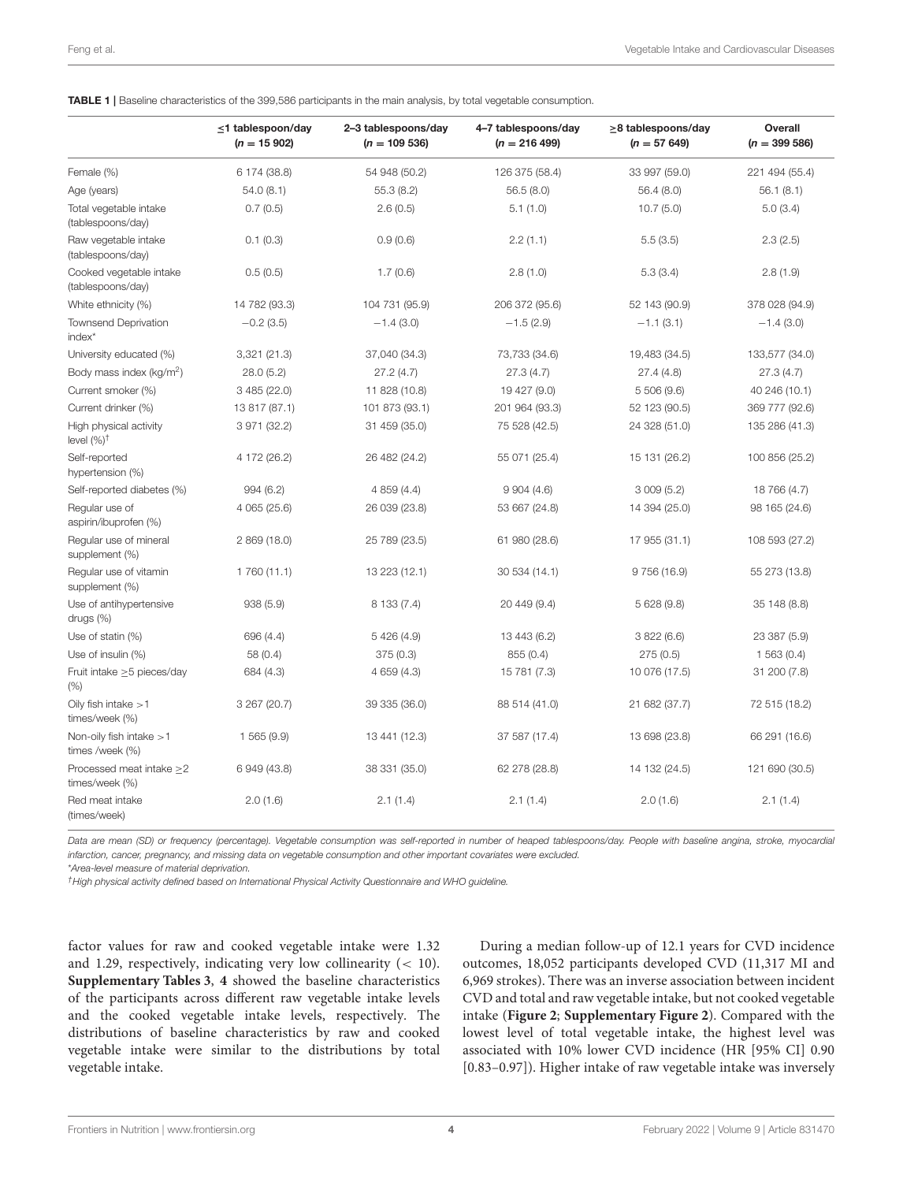<span id="page-3-0"></span>

|                                                 | $\leq$ 1 tablespoon/day<br>$(n = 15902)$ | 2-3 tablespoons/day<br>$(n = 109536)$ | 4-7 tablespoons/day<br>$(n = 216 499)$ | $\geq$ 8 tablespoons/day<br>$(n = 57649)$ | Overall<br>$(n = 399586)$ |
|-------------------------------------------------|------------------------------------------|---------------------------------------|----------------------------------------|-------------------------------------------|---------------------------|
| Female (%)                                      | 6 174 (38.8)                             | 54 948 (50.2)                         | 126 375 (58.4)                         | 33 997 (59.0)                             | 221 494 (55.4)            |
| Age (years)                                     | 54.0(8.1)                                | 55.3(8.2)                             | 56.5(8.0)                              | 56.4 (8.0)                                | 56.1 (8.1)                |
| Total vegetable intake<br>(tablespoons/day)     | 0.7(0.5)                                 | 2.6(0.5)                              | 5.1(1.0)                               | 10.7(5.0)                                 | 5.0(3.4)                  |
| Raw vegetable intake<br>(tablespoons/day)       | 0.1(0.3)                                 | 0.9(0.6)                              | 2.2(1.1)                               | 5.5(3.5)                                  | 2.3(2.5)                  |
| Cooked vegetable intake<br>(tablespoons/day)    | 0.5(0.5)                                 | 1.7(0.6)                              | 2.8(1.0)                               | 5.3(3.4)                                  | 2.8(1.9)                  |
| White ethnicity (%)                             | 14 782 (93.3)                            | 104 731 (95.9)                        | 206 372 (95.6)                         | 52 143 (90.9)                             | 378 028 (94.9)            |
| <b>Townsend Deprivation</b><br>index*           | $-0.2$ (3.5)                             | $-1.4(3.0)$                           | $-1.5(2.9)$                            | $-1.1(3.1)$                               | $-1.4(3.0)$               |
| University educated (%)                         | 3,321 (21.3)                             | 37,040 (34.3)                         | 73,733 (34.6)                          | 19,483 (34.5)                             | 133,577 (34.0)            |
| Body mass index (kg/m <sup>2</sup> )            | 28.0 (5.2)                               | 27.2(4.7)                             | 27.3(4.7)                              | 27.4(4.8)                                 | 27.3(4.7)                 |
| Current smoker (%)                              | 3 485 (22.0)                             | 11 828 (10.8)                         | 19 427 (9.0)                           | 5 506 (9.6)                               | 40 246 (10.1)             |
| Current drinker (%)                             | 13 817 (87.1)                            | 101 873 (93.1)                        | 201 964 (93.3)                         | 52 123 (90.5)                             | 369 777 (92.6)            |
| High physical activity<br>level $(%)^{\dagger}$ | 3 971 (32.2)                             | 31 459 (35.0)                         | 75 528 (42.5)                          | 24 328 (51.0)                             | 135 286 (41.3)            |
| Self-reported<br>hypertension (%)               | 4 172 (26.2)                             | 26 482 (24.2)                         | 55 071 (25.4)                          | 15 131 (26.2)                             | 100 856 (25.2)            |
| Self-reported diabetes (%)                      | 994(6.2)                                 | 4 859 (4.4)                           | 9904(4.6)                              | 3009(5.2)                                 | 18 766 (4.7)              |
| Regular use of<br>aspirin/ibuprofen (%)         | 4 065 (25.6)                             | 26 039 (23.8)                         | 53 667 (24.8)                          | 14 394 (25.0)                             | 98 165 (24.6)             |
| Regular use of mineral<br>supplement (%)        | 2 869 (18.0)                             | 25 789 (23.5)                         | 61 980 (28.6)                          | 17 955 (31.1)                             | 108 593 (27.2)            |
| Regular use of vitamin<br>supplement (%)        | 1 760 (11.1)                             | 13 223 (12.1)                         | 30 534 (14.1)                          | 9 756 (16.9)                              | 55 273 (13.8)             |
| Use of antihypertensive<br>drugs (%)            | 938(5.9)                                 | 8 133 (7.4)                           | 20 449 (9.4)                           | 5 628 (9.8)                               | 35 148 (8.8)              |
| Use of statin (%)                               | 696 (4.4)                                | 5 426 (4.9)                           | 13 443 (6.2)                           | 3822(6.6)                                 | 23 387 (5.9)              |
| Use of insulin (%)                              | 58 (0.4)                                 | 375(0.3)                              | 855 (0.4)                              | 275(0.5)                                  | 1563(0.4)                 |
| Fruit intake $\geq$ 5 pieces/day<br>$(\%)$      | 684 (4.3)                                | 4 659 (4.3)                           | 15 781 (7.3)                           | 10 076 (17.5)                             | 31 200 (7.8)              |
| Oily fish intake $>1$<br>times/week (%)         | 3 267 (20.7)                             | 39 335 (36.0)                         | 88 514 (41.0)                          | 21 682 (37.7)                             | 72 515 (18.2)             |
| Non-oily fish intake $>1$<br>times /week (%)    | 1565(9.9)                                | 13 441 (12.3)                         | 37 587 (17.4)                          | 13 698 (23.8)                             | 66 291 (16.6)             |
| Processed meat intake >2<br>times/week (%)      | 6 949 (43.8)                             | 38 331 (35.0)                         | 62 278 (28.8)                          | 14 132 (24.5)                             | 121 690 (30.5)            |
| Red meat intake<br>(times/week)                 | 2.0(1.6)                                 | 2.1(1.4)                              | 2.1(1.4)                               | 2.0(1.6)                                  | 2.1(1.4)                  |

Data are mean (SD) or frequency (percentage). Vegetable consumption was self-reported in number of heaped tablespoons/day. People with baseline angina, stroke, myocardial infarction, cancer, pregnancy, and missing data on vegetable consumption and other important covariates were excluded.

\*Area-level measure of material deprivation.

†High physical activity defined based on International Physical Activity Questionnaire and WHO guideline.

factor values for raw and cooked vegetable intake were 1.32 and 1.29, respectively, indicating very low collinearity  $(< 10$ ). **[Supplementary Tables 3](#page-7-11)**, **[4](#page-7-11)** showed the baseline characteristics of the participants across different raw vegetable intake levels and the cooked vegetable intake levels, respectively. The distributions of baseline characteristics by raw and cooked vegetable intake were similar to the distributions by total vegetable intake.

During a median follow-up of 12.1 years for CVD incidence outcomes, 18,052 participants developed CVD (11,317 MI and 6,969 strokes). There was an inverse association between incident CVD and total and raw vegetable intake, but not cooked vegetable intake (**[Figure 2](#page-5-0)**; **[Supplementary Figure 2](#page-7-11)**). Compared with the lowest level of total vegetable intake, the highest level was associated with 10% lower CVD incidence (HR [95% CI] 0.90 [0.83–0.97]). Higher intake of raw vegetable intake was inversely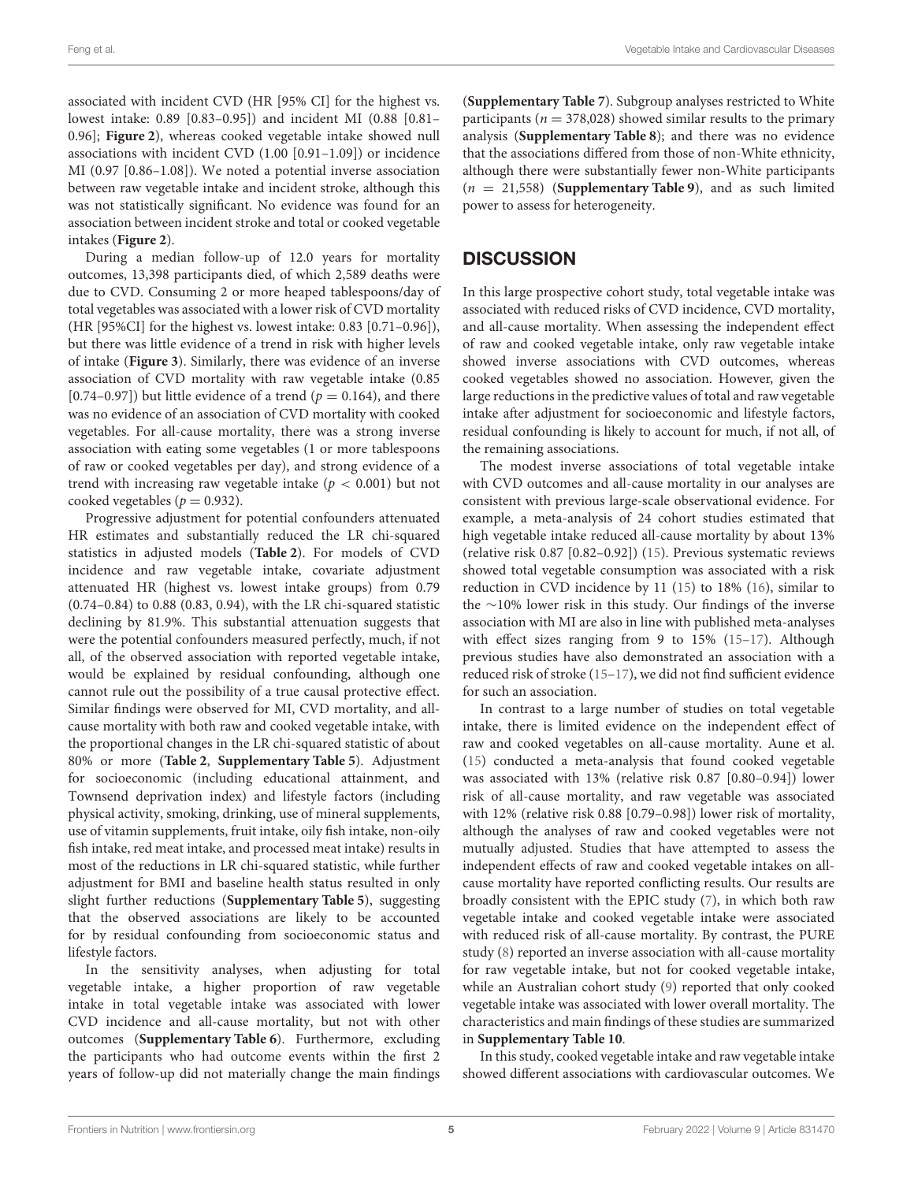associated with incident CVD (HR [95% CI] for the highest vs. lowest intake: 0.89 [0.83–0.95]) and incident MI (0.88 [0.81– 0.96]; **[Figure 2](#page-5-0)**), whereas cooked vegetable intake showed null associations with incident CVD (1.00 [0.91–1.09]) or incidence MI (0.97 [0.86–1.08]). We noted a potential inverse association between raw vegetable intake and incident stroke, although this was not statistically significant. No evidence was found for an association between incident stroke and total or cooked vegetable intakes (**[Figure 2](#page-5-0)**).

During a median follow-up of 12.0 years for mortality outcomes, 13,398 participants died, of which 2,589 deaths were due to CVD. Consuming 2 or more heaped tablespoons/day of total vegetables was associated with a lower risk of CVD mortality (HR [95%CI] for the highest vs. lowest intake: 0.83 [0.71–0.96]), but there was little evidence of a trend in risk with higher levels of intake (**[Figure 3](#page-5-1)**). Similarly, there was evidence of an inverse association of CVD mortality with raw vegetable intake (0.85 [0.74–0.97]) but little evidence of a trend ( $p = 0.164$ ), and there was no evidence of an association of CVD mortality with cooked vegetables. For all-cause mortality, there was a strong inverse association with eating some vegetables (1 or more tablespoons of raw or cooked vegetables per day), and strong evidence of a trend with increasing raw vegetable intake ( $p < 0.001$ ) but not cooked vegetables ( $p = 0.932$ ).

Progressive adjustment for potential confounders attenuated HR estimates and substantially reduced the LR chi-squared statistics in adjusted models (**[Table 2](#page-6-0)**). For models of CVD incidence and raw vegetable intake, covariate adjustment attenuated HR (highest vs. lowest intake groups) from 0.79 (0.74–0.84) to 0.88 (0.83, 0.94), with the LR chi-squared statistic declining by 81.9%. This substantial attenuation suggests that were the potential confounders measured perfectly, much, if not all, of the observed association with reported vegetable intake, would be explained by residual confounding, although one cannot rule out the possibility of a true causal protective effect. Similar findings were observed for MI, CVD mortality, and allcause mortality with both raw and cooked vegetable intake, with the proportional changes in the LR chi-squared statistic of about 80% or more (**[Table 2](#page-6-0)**, **[Supplementary Table 5](#page-7-11)**). Adjustment for socioeconomic (including educational attainment, and Townsend deprivation index) and lifestyle factors (including physical activity, smoking, drinking, use of mineral supplements, use of vitamin supplements, fruit intake, oily fish intake, non-oily fish intake, red meat intake, and processed meat intake) results in most of the reductions in LR chi-squared statistic, while further adjustment for BMI and baseline health status resulted in only slight further reductions (**[Supplementary Table 5](#page-7-11)**), suggesting that the observed associations are likely to be accounted for by residual confounding from socioeconomic status and lifestyle factors.

In the sensitivity analyses, when adjusting for total vegetable intake, a higher proportion of raw vegetable intake in total vegetable intake was associated with lower CVD incidence and all-cause mortality, but not with other outcomes (**[Supplementary Table 6](#page-7-11)**). Furthermore, excluding the participants who had outcome events within the first 2 years of follow-up did not materially change the main findings (**[Supplementary Table 7](#page-7-11)**). Subgroup analyses restricted to White participants ( $n = 378,028$ ) showed similar results to the primary analysis (**[Supplementary Table 8](#page-7-11)**); and there was no evidence that the associations differed from those of non-White ethnicity, although there were substantially fewer non-White participants  $(n = 21,558)$  (**[Supplementary Table 9](#page-7-11)**), and as such limited power to assess for heterogeneity.

# **DISCUSSION**

In this large prospective cohort study, total vegetable intake was associated with reduced risks of CVD incidence, CVD mortality, and all-cause mortality. When assessing the independent effect of raw and cooked vegetable intake, only raw vegetable intake showed inverse associations with CVD outcomes, whereas cooked vegetables showed no association. However, given the large reductions in the predictive values of total and raw vegetable intake after adjustment for socioeconomic and lifestyle factors, residual confounding is likely to account for much, if not all, of the remaining associations.

The modest inverse associations of total vegetable intake with CVD outcomes and all-cause mortality in our analyses are consistent with previous large-scale observational evidence. For example, a meta-analysis of 24 cohort studies estimated that high vegetable intake reduced all-cause mortality by about 13% (relative risk 0.87 [0.82–0.92]) [\(15\)](#page-8-3). Previous systematic reviews showed total vegetable consumption was associated with a risk reduction in CVD incidence by 11 [\(15\)](#page-8-3) to 18% [\(16\)](#page-8-4), similar to the ∼10% lower risk in this study. Our findings of the inverse association with MI are also in line with published meta-analyses with effect sizes ranging from 9 to 15% [\(15–](#page-8-3)[17\)](#page-8-5). Although previous studies have also demonstrated an association with a reduced risk of stroke [\(15–](#page-8-3)[17\)](#page-8-5), we did not find sufficient evidence for such an association.

In contrast to a large number of studies on total vegetable intake, there is limited evidence on the independent effect of raw and cooked vegetables on all-cause mortality. Aune et al. [\(15\)](#page-8-3) conducted a meta-analysis that found cooked vegetable was associated with 13% (relative risk 0.87 [0.80–0.94]) lower risk of all-cause mortality, and raw vegetable was associated with 12% (relative risk 0.88 [0.79–0.98]) lower risk of mortality, although the analyses of raw and cooked vegetables were not mutually adjusted. Studies that have attempted to assess the independent effects of raw and cooked vegetable intakes on allcause mortality have reported conflicting results. Our results are broadly consistent with the EPIC study [\(7\)](#page-7-6), in which both raw vegetable intake and cooked vegetable intake were associated with reduced risk of all-cause mortality. By contrast, the PURE study [\(8\)](#page-7-7) reported an inverse association with all-cause mortality for raw vegetable intake, but not for cooked vegetable intake, while an Australian cohort study [\(9\)](#page-7-8) reported that only cooked vegetable intake was associated with lower overall mortality. The characteristics and main findings of these studies are summarized in **[Supplementary Table 10](#page-7-11)**.

In this study, cooked vegetable intake and raw vegetable intake showed different associations with cardiovascular outcomes. We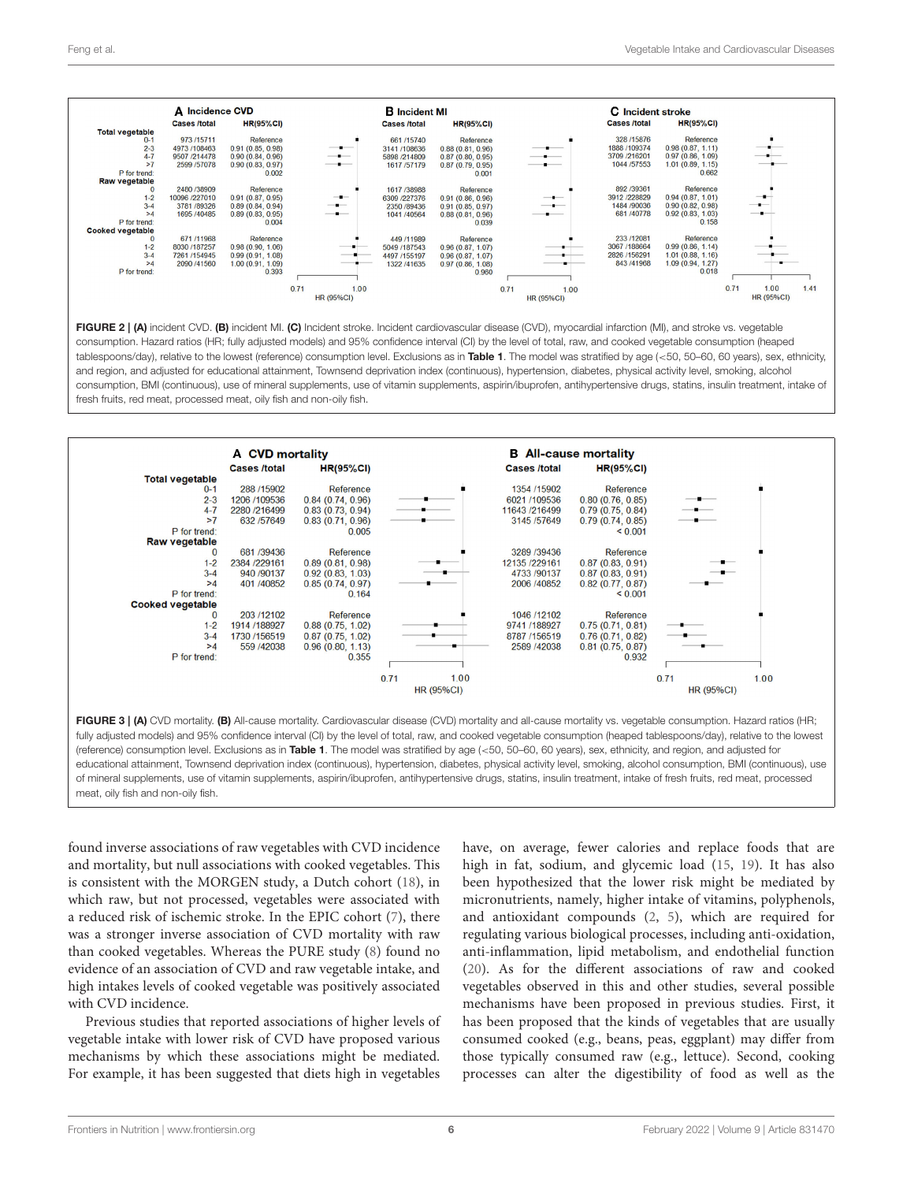

<span id="page-5-0"></span>FIGURE 2 | (A) incident CVD. (B) incident MI. (C) Incident stroke. Incident cardiovascular disease (CVD), myocardial infarction (MI), and stroke vs. vegetable consumption. Hazard ratios (HR; fully adjusted models) and 95% confidence interval (CI) by the level of total, raw, and cooked vegetable consumption (heaped tablespoons/day), relative to the lowest (reference) consumption level. Exclusions as in [Table 1](#page-3-0). The model was stratified by age (<50, 50-60, 60 years), sex, ethnicity, and region, and adjusted for educational attainment, Townsend deprivation index (continuous), hypertension, diabetes, physical activity level, smoking, alcohol consumption, BMI (continuous), use of mineral supplements, use of vitamin supplements, aspirin/ibuprofen, antihypertensive drugs, statins, insulin treatment, intake of fresh fruits, red meat, processed meat, oily fish and non-oily fish.



<span id="page-5-1"></span>fully adjusted models) and 95% confidence interval (CI) by the level of total, raw, and cooked vegetable consumption (heaped tablespoons/day), relative to the lowest (reference) consumption level. Exclusions as in [Table 1](#page-3-0). The model was stratified by age (<50, 50–60, 60 years), sex, ethnicity, and region, and adjusted for educational attainment, Townsend deprivation index (continuous), hypertension, diabetes, physical activity level, smoking, alcohol consumption, BMI (continuous), use of mineral supplements, use of vitamin supplements, aspirin/ibuprofen, antihypertensive drugs, statins, insulin treatment, intake of fresh fruits, red meat, processed meat, oily fish and non-oily fish.

found inverse associations of raw vegetables with CVD incidence and mortality, but null associations with cooked vegetables. This is consistent with the MORGEN study, a Dutch cohort [\(18\)](#page-8-6), in which raw, but not processed, vegetables were associated with a reduced risk of ischemic stroke. In the EPIC cohort [\(7\)](#page-7-6), there was a stronger inverse association of CVD mortality with raw than cooked vegetables. Whereas the PURE study [\(8\)](#page-7-7) found no evidence of an association of CVD and raw vegetable intake, and high intakes levels of cooked vegetable was positively associated with CVD incidence.

Previous studies that reported associations of higher levels of vegetable intake with lower risk of CVD have proposed various mechanisms by which these associations might be mediated. For example, it has been suggested that diets high in vegetables have, on average, fewer calories and replace foods that are high in fat, sodium, and glycemic load [\(15,](#page-8-3) [19\)](#page-8-7). It has also been hypothesized that the lower risk might be mediated by micronutrients, namely, higher intake of vitamins, polyphenols, and antioxidant compounds [\(2,](#page-7-1) [5\)](#page-7-4), which are required for regulating various biological processes, including anti-oxidation, anti-inflammation, lipid metabolism, and endothelial function [\(20\)](#page-8-8). As for the different associations of raw and cooked vegetables observed in this and other studies, several possible mechanisms have been proposed in previous studies. First, it has been proposed that the kinds of vegetables that are usually consumed cooked (e.g., beans, peas, eggplant) may differ from those typically consumed raw (e.g., lettuce). Second, cooking processes can alter the digestibility of food as well as the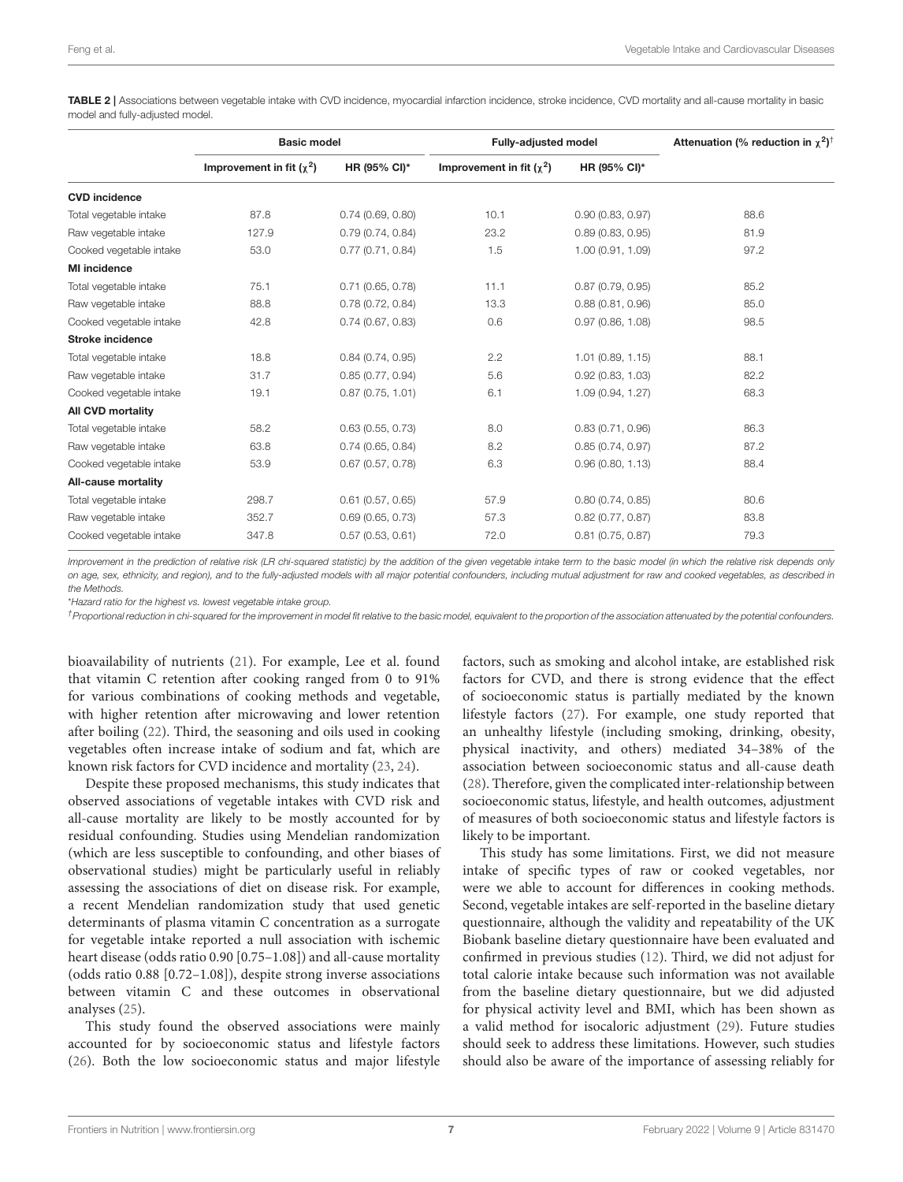<span id="page-6-0"></span>TABLE 2 | Associations between vegetable intake with CVD incidence, myocardial infarction incidence, stroke incidence, CVD mortality and all-cause mortality in basic model and fully-adjusted model.

|                          | <b>Basic model</b>            |                     | <b>Fully-adjusted model</b>   |                     | Attenuation (% reduction in $\chi^2$ ) <sup>†</sup> |
|--------------------------|-------------------------------|---------------------|-------------------------------|---------------------|-----------------------------------------------------|
|                          | Improvement in fit $(\chi^2)$ | HR (95% CI)*        | Improvement in fit $(\chi^2)$ | HR (95% CI)*        |                                                     |
| <b>CVD</b> incidence     |                               |                     |                               |                     |                                                     |
| Total vegetable intake   | 87.8                          | 0.74(0.69, 0.80)    | 10.1                          | 0.90(0.83, 0.97)    | 88.6                                                |
| Raw vegetable intake     | 127.9                         | 0.79(0.74, 0.84)    | 23.2                          | 0.89(0.83, 0.95)    | 81.9                                                |
| Cooked vegetable intake  | 53.0                          | 0.77(0.71, 0.84)    | 1.5                           | 1.00 (0.91, 1.09)   | 97.2                                                |
| <b>MI</b> incidence      |                               |                     |                               |                     |                                                     |
| Total vegetable intake   | 75.1                          | 0.71(0.65, 0.78)    | 11.1                          | 0.87(0.79, 0.95)    | 85.2                                                |
| Raw vegetable intake     | 88.8                          | 0.78(0.72, 0.84)    | 13.3                          | 0.88(0.81, 0.96)    | 85.0                                                |
| Cooked vegetable intake  | 42.8                          | 0.74(0.67, 0.83)    | 0.6                           | 0.97(0.86, 1.08)    | 98.5                                                |
| <b>Stroke incidence</b>  |                               |                     |                               |                     |                                                     |
| Total vegetable intake   | 18.8                          | 0.84(0.74, 0.95)    | 2.2                           | 1.01(0.89, 1.15)    | 88.1                                                |
| Raw vegetable intake     | 31.7                          | 0.85(0.77, 0.94)    | 5.6                           | 0.92(0.83, 1.03)    | 82.2                                                |
| Cooked vegetable intake  | 19.1                          | 0.87(0.75, 1.01)    | 6.1                           | 1.09 (0.94, 1.27)   | 68.3                                                |
| <b>All CVD mortality</b> |                               |                     |                               |                     |                                                     |
| Total vegetable intake   | 58.2                          | 0.63(0.55, 0.73)    | 8.0                           | 0.83(0.71, 0.96)    | 86.3                                                |
| Raw vegetable intake     | 63.8                          | 0.74(0.65, 0.84)    | 8.2                           | 0.85(0.74, 0.97)    | 87.2                                                |
| Cooked vegetable intake  | 53.9                          | 0.67(0.57, 0.78)    | 6.3                           | 0.96(0.80, 1.13)    | 88.4                                                |
| All-cause mortality      |                               |                     |                               |                     |                                                     |
| Total vegetable intake   | 298.7                         | $0.61$ (0.57, 0.65) | 57.9                          | 0.80(0.74, 0.85)    | 80.6                                                |
| Raw vegetable intake     | 352.7                         | 0.69(0.65, 0.73)    | 57.3                          | $0.82$ (0.77, 0.87) | 83.8                                                |
| Cooked vegetable intake  | 347.8                         | 0.57(0.53, 0.61)    | 72.0                          | $0.81$ (0.75, 0.87) | 79.3                                                |

Improvement in the prediction of relative risk (LR chi-squared statistic) by the addition of the given vegetable intake term to the basic model (in which the relative risk depends only on age, sex, ethnicity, and region), and to the fully-adjusted models with all major potential confounders, including mutual adjustment for raw and cooked vegetables, as described in the Methods.

\*Hazard ratio for the highest vs. lowest vegetable intake group.

<sup>†</sup> Proportional reduction in chi-squared for the improvement in model fit relative to the basic model, equivalent to the proportion of the association attenuated by the potential confounders.

bioavailability of nutrients [\(21\)](#page-8-9). For example, Lee et al. found that vitamin C retention after cooking ranged from 0 to 91% for various combinations of cooking methods and vegetable, with higher retention after microwaving and lower retention after boiling [\(22\)](#page-8-10). Third, the seasoning and oils used in cooking vegetables often increase intake of sodium and fat, which are known risk factors for CVD incidence and mortality [\(23,](#page-8-11) [24\)](#page-8-12).

Despite these proposed mechanisms, this study indicates that observed associations of vegetable intakes with CVD risk and all-cause mortality are likely to be mostly accounted for by residual confounding. Studies using Mendelian randomization (which are less susceptible to confounding, and other biases of observational studies) might be particularly useful in reliably assessing the associations of diet on disease risk. For example, a recent Mendelian randomization study that used genetic determinants of plasma vitamin C concentration as a surrogate for vegetable intake reported a null association with ischemic heart disease (odds ratio 0.90 [0.75–1.08]) and all-cause mortality (odds ratio 0.88 [0.72–1.08]), despite strong inverse associations between vitamin C and these outcomes in observational analyses [\(25\)](#page-8-13).

This study found the observed associations were mainly accounted for by socioeconomic status and lifestyle factors [\(26\)](#page-8-14). Both the low socioeconomic status and major lifestyle

factors, such as smoking and alcohol intake, are established risk factors for CVD, and there is strong evidence that the effect of socioeconomic status is partially mediated by the known lifestyle factors [\(27\)](#page-8-15). For example, one study reported that an unhealthy lifestyle (including smoking, drinking, obesity, physical inactivity, and others) mediated 34–38% of the association between socioeconomic status and all-cause death [\(28\)](#page-8-16). Therefore, given the complicated inter-relationship between socioeconomic status, lifestyle, and health outcomes, adjustment of measures of both socioeconomic status and lifestyle factors is likely to be important.

This study has some limitations. First, we did not measure intake of specific types of raw or cooked vegetables, nor were we able to account for differences in cooking methods. Second, vegetable intakes are self-reported in the baseline dietary questionnaire, although the validity and repeatability of the UK Biobank baseline dietary questionnaire have been evaluated and confirmed in previous studies [\(12\)](#page-8-0). Third, we did not adjust for total calorie intake because such information was not available from the baseline dietary questionnaire, but we did adjusted for physical activity level and BMI, which has been shown as a valid method for isocaloric adjustment [\(29\)](#page-8-17). Future studies should seek to address these limitations. However, such studies should also be aware of the importance of assessing reliably for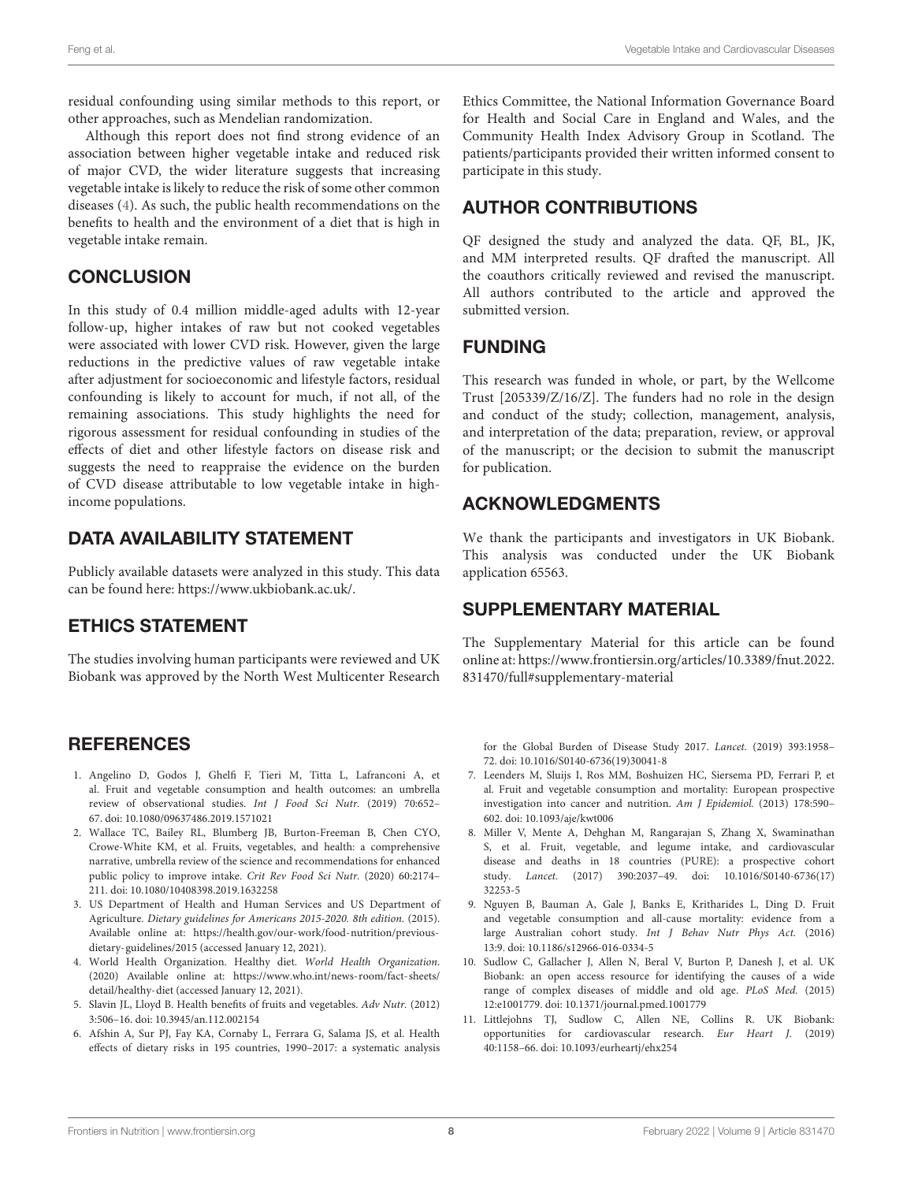residual confounding using similar methods to this report, or other approaches, such as Mendelian randomization.

Although this report does not find strong evidence of an association between higher vegetable intake and reduced risk of major CVD, the wider literature suggests that increasing vegetable intake is likely to reduce the risk of some other common diseases [\(4\)](#page-7-3). As such, the public health recommendations on the benefits to health and the environment of a diet that is high in vegetable intake remain.

# **CONCLUSION**

In this study of 0.4 million middle-aged adults with 12-year follow-up, higher intakes of raw but not cooked vegetables were associated with lower CVD risk. However, given the large reductions in the predictive values of raw vegetable intake after adjustment for socioeconomic and lifestyle factors, residual confounding is likely to account for much, if not all, of the remaining associations. This study highlights the need for rigorous assessment for residual confounding in studies of the effects of diet and other lifestyle factors on disease risk and suggests the need to reappraise the evidence on the burden of CVD disease attributable to low vegetable intake in highincome populations.

# DATA AVAILABILITY STATEMENT

Publicly available datasets were analyzed in this study. This data can be found here: [https://www.ukbiobank.ac.uk/.](https://www.ukbiobank.ac.uk/)

# ETHICS STATEMENT

The studies involving human participants were reviewed and UK Biobank was approved by the North West Multicenter Research

# **REFERENCES**

- <span id="page-7-0"></span>1. Angelino D, Godos J, Ghelfi F, Tieri M, Titta L, Lafranconi A, et al. Fruit and vegetable consumption and health outcomes: an umbrella review of observational studies. Int J Food Sci Nutr. (2019) 70:652– 67. doi: [10.1080/09637486.2019.1571021](https://doi.org/10.1080/09637486.2019.1571021)
- <span id="page-7-1"></span>2. Wallace TC, Bailey RL, Blumberg JB, Burton-Freeman B, Chen CYO, Crowe-White KM, et al. Fruits, vegetables, and health: a comprehensive narrative, umbrella review of the science and recommendations for enhanced public policy to improve intake. Crit Rev Food Sci Nutr. (2020) 60:2174– 211. doi: [10.1080/10408398.2019.1632258](https://doi.org/10.1080/10408398.2019.1632258)
- <span id="page-7-2"></span>3. US Department of Health and Human Services and US Department of Agriculture. Dietary guidelines for Americans 2015-2020. 8th edition. (2015). Available online at: [https://health.gov/our-work/food-nutrition/previous](https://health.gov/our-work/food-nutrition/previous-dietary-guidelines/2015)[dietary-guidelines/2015](https://health.gov/our-work/food-nutrition/previous-dietary-guidelines/2015) (accessed January 12, 2021).
- <span id="page-7-3"></span>4. World Health Organization. Healthy diet. World Health Organization. (2020) Available online at: [https://www.who.int/news-room/fact-sheets/](https://www.who.int/news-room/fact-sheets/detail/healthy-diet) [detail/healthy-diet](https://www.who.int/news-room/fact-sheets/detail/healthy-diet) (accessed January 12, 2021).
- <span id="page-7-4"></span>5. Slavin JL, Lloyd B. Health benefits of fruits and vegetables. Adv Nutr. (2012) 3:506–16. doi: [10.3945/an.112.002154](https://doi.org/10.3945/an.112.002154)
- <span id="page-7-5"></span>6. Afshin A, Sur PJ, Fay KA, Cornaby L, Ferrara G, Salama JS, et al. Health effects of dietary risks in 195 countries, 1990–2017: a systematic analysis

Ethics Committee, the National Information Governance Board for Health and Social Care in England and Wales, and the Community Health Index Advisory Group in Scotland. The patients/participants provided their written informed consent to participate in this study.

# AUTHOR CONTRIBUTIONS

QF designed the study and analyzed the data. QF, BL, JK, and MM interpreted results. QF drafted the manuscript. All the coauthors critically reviewed and revised the manuscript. All authors contributed to the article and approved the submitted version.

# FUNDING

This research was funded in whole, or part, by the Wellcome Trust [205339/Z/16/Z]. The funders had no role in the design and conduct of the study; collection, management, analysis, and interpretation of the data; preparation, review, or approval of the manuscript; or the decision to submit the manuscript for publication.

# ACKNOWLEDGMENTS

We thank the participants and investigators in UK Biobank. This analysis was conducted under the UK Biobank application 65563.

# SUPPLEMENTARY MATERIAL

<span id="page-7-11"></span>The Supplementary Material for this article can be found [online at: https://www.frontiersin.org/articles/10.3389/fnut.2022.](https://www.frontiersin.org/articles/10.3389/fnut.2022.831470/full#supplementary-material) 831470/full#supplementary-material

for the Global Burden of Disease Study 2017. Lancet. (2019) 393:1958– 72. doi: [10.1016/S0140-6736\(19\)30041-8](https://doi.org/10.1016/S0140-6736(19)30041-8)

- <span id="page-7-6"></span>7. Leenders M, Sluijs I, Ros MM, Boshuizen HC, Siersema PD, Ferrari P, et al. Fruit and vegetable consumption and mortality: European prospective investigation into cancer and nutrition. Am J Epidemiol. (2013) 178:590– 602. doi: [10.1093/aje/kwt006](https://doi.org/10.1093/aje/kwt006)
- <span id="page-7-7"></span>8. Miller V, Mente A, Dehghan M, Rangarajan S, Zhang X, Swaminathan S, et al. Fruit, vegetable, and legume intake, and cardiovascular disease and deaths in 18 countries (PURE): a prospective cohort study. Lancet. [\(2017\) 390:2037–49. doi: 10.1016/S0140-6736\(17\)](https://doi.org/10.1016/S0140-6736(17)32253-5) 32253-5
- <span id="page-7-8"></span>9. Nguyen B, Bauman A, Gale J, Banks E, Kritharides L, Ding D. Fruit and vegetable consumption and all-cause mortality: evidence from a large Australian cohort study. Int J Behav Nutr Phys Act. (2016) 13:9. doi: [10.1186/s12966-016-0334-5](https://doi.org/10.1186/s12966-016-0334-5)
- <span id="page-7-9"></span>10. Sudlow C, Gallacher J, Allen N, Beral V, Burton P, Danesh J, et al. UK Biobank: an open access resource for identifying the causes of a wide range of complex diseases of middle and old age. PLoS Med. (2015) 12:e1001779. doi: [10.1371/journal.pmed.1001779](https://doi.org/10.1371/journal.pmed.1001779)
- <span id="page-7-10"></span>11. Littlejohns TJ, Sudlow C, Allen NE, Collins R. UK Biobank: opportunities for cardiovascular research. Eur Heart J. (2019) 40:1158–66. doi: [10.1093/eurheartj/ehx254](https://doi.org/10.1093/eurheartj/ehx254)